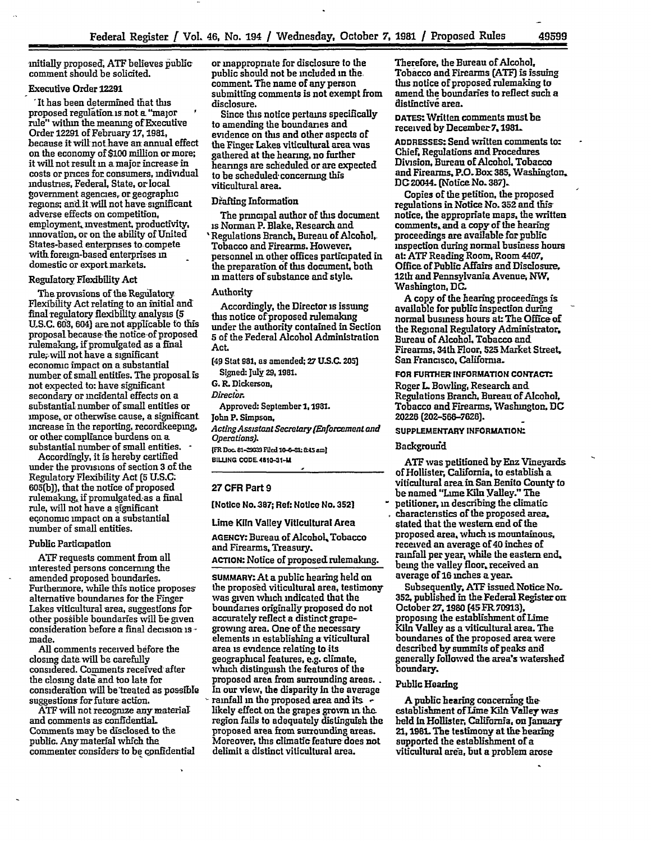initially proposed, **ATF** believes public comment should be solicited.

## Executive Order **12291**

'It has been determined that this proposed regulation is not a "major rule" within the meaning ofExecutive Order 12291 of February **17, 1981,** because it will not have an annual effect on the economy of **\$100** million or more; it will not result **in** a major increasein costs or prices for consumers, individual industries, Federal, State, or local government agencies, or geographic regions; andit will not have significant adverse effects on competition, employment, investment, productivity, innovation, or on the ability of United States-based enterprises to. compete with foreign-based enterprises **in** domestic or export markets.

### Regulatory Flexibility Act

The provisions of the Regulatory Flexibility Act relating to an initial and final regulatory flexibility analysis **(5 U.S.C. 603, 604)** arenot applicable to this proposalbecause the notice-of proposed rulemaking, if promulgated as a final rule;,will not have a significant economic impact on a substantial number of small entities. The proposal is not expected to: have significant secondary or incidental effects on a substantial number of small entities or impose, or otherwise cause, a significant increase in the reporting, recordkeeping, or other compliance burdens on a substantial number of small entities. **-** Accordingly, it is hereby certified

under the provisions of section **3 of** the Regulatory Flexibility Act **(5 U.S.C.** 605(b)), that the notice of proposed rulemaking, if promulgated as a final rule, will not have a significant economic impact on a substantial number of small entities.

#### Public Participation

ATF requests comment from all interested persons concerning the amended proposed boundaries. Furthermore, while this notice proposes alternative boundaries for the Finger Lakes viticultural area, suggestions for other possible boundaries will be given consideration before a final decision is  made.

All comments received before the closing date will be carefully considered. Comments received after the closing date and too late for consideration will be treated as possible suggestions for future action.

ATF will not recognize any material and comments as confidentiaL Comments maybe disclosed to the public. Anymaterial which the commenter considers to be confidential

or inappropriate for disclosure to the public should not be included in the comment The name of any person submitting comments is not exempt from disclosure.

Since this notice pertains specifically to amending the boundaries and evidence on this and other aspects of the Finger Lakes viticultural area was gathered at the hearing, no further hearings are scheduled or are expected to be scheduled-concerning this viticultural area.

#### Drafting Information

The principal author of this document is Norman P. Blake, Research and 'Regulations Branch, Bureau of Alcohol, Tobacco and Firearms. However. personnel in other offices participated in the preparation **of** this document, both in matters **of** substance and style.

## Authority

Accordingly, the Director is issuing this notice of proposed rulemaking under the authority contained in Section **5** of the Federal Alcohol Administration Act.

**(49** Stat **981,** as amended; **27 US.C. 20** Signed: July 29, 1981.

**G. R.** Dickerson,

*Director.*

Approved: September 1, 1981.

John **P. Simpson,**

*Acting Assistant Secre tary (Enforcemewt and* Operations).

**(FR Doc.** 81-M= **Fid 10-&= & 5 m1 BILNG CODE4810-31-U**

## **27** CFR Part **9**

[Notice No. **387; Ref:** Notice No. **3521**

# Lime Kiln Valley Viticultural Area

**AGENCY:** Bureau of Alcohol, Tobacco and Firearms, Treasury.

## **ACTION:** Notice of proposed rulemaking.

**SUMMARY:** At a public hearing held **on** the proposed viticultural area, testimony was given which indicated that the boundaries originally proposed do not accurately reflect a distinct grapegrowing area. One of the necessary elements **in** establishing a viticultural area is evidence relating to its geographical features, e.g. climate, which distinguish the features of the proposed area from surrounding areas.. In our view, the disparity in the average rainfall in the proposed area and **its** likely effect. on the grapes grown **in the.** region fails to adequately distinguish the proposed area from surrounding areas. Moreover, this climatic feature does not delimit a distinct viticultural area.

Therefore, the Bureau of Alcohol, Tobacco and Firearms **(ATFI** is issuing this notice of proposed rulemaking to amend the boundaries to reflect such a distinctive area.

**DATES.** Written comments must be received by December 7, 1981.

**ADDRESSE.** Send written comments to: Chief. Regulations and Procedures Division, Bureau of Alcohol, Tobacco and Firearms. P.O.Box **385,** Washington. DC20044. (NoticeNo. **387)-**

Copies of the petition, the proposed regulations in Notice **No. 352** and this notice, the appropriate maps, the written comments. and a copy of the hearing proceedings are available for public inspection during normal business hours at: **ATF** Reading Room. Room **4407,** Office of Public Affairs and Disclosure, 12th and Pennsylvania Avenue, NW, Washington, **DC.**

A copy of the hearing proceedings is available for public inspection during normal business hours at: The Office **of** the Regional Regulatory Administrator Bureau of Alcohol, Tobacco and Firearms, 34th Floor, **525 Market Street,** San Francisco. California.

**FOR FURTHER INFORMATION CONTACT:** Roger L Bowling, Research and Regulations Branch. Bureau **of** Alcohol, Tobacco and Firearms, Washington, **DC** 20226 **(202-566-7625).**

# **SUpPLEMENTARY INFORMATION:**

## Backgrourid

**ATF** was petitioned byEnz Vineyards of Hollister, California, to establish a viticultural areain San Benito County **to** be named "Lime Kiln Valley." The petitioner, **in** describing the climatic characteristics of the proposed area, stated that the western end of the proposed area, which is mountainous, received an average of 40 inches of rainfall per year, while the eastern end, being the valley floor. received an average of 16 inches a year.

Subsequently, **ATF** issued Notice **No. 352,** published in the Federal Register on: October **27.1980** (45 FR **70913),** proposing the establishment of Lime Kiln Valley as a viticultural area. The boundaries **of** the proposed area were described **by** summits **of** peaks and generally followed the area's watershed **boundary.**

## Public Hearing

**A** public hearing concerning the establishment of Lime Kiln Valley was **held** in Hollister, California, on January 21,1981. The testimony at the hearing supported the establishment of a viticultural area, but a problem arose